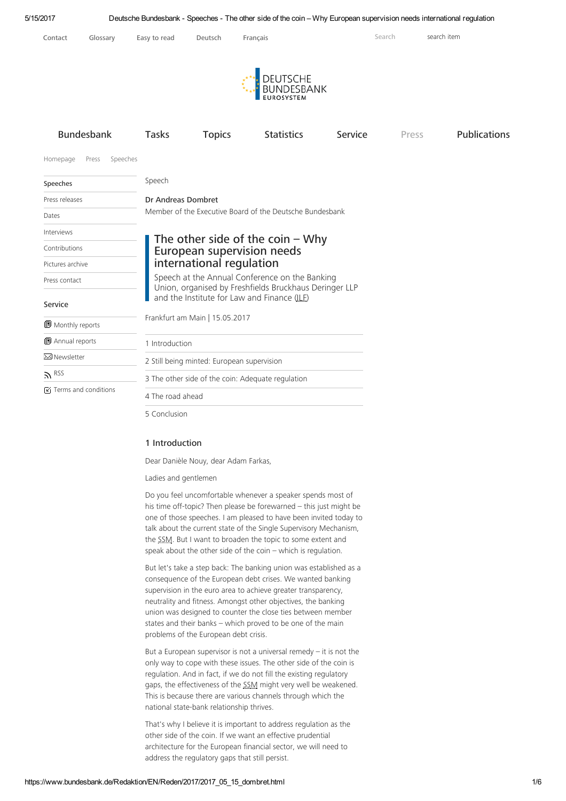

5 [Conclusion](https://www.bundesbank.de/Redaktion/EN/Reden/2017/2017_05_15_dombret.html#doc399030bodyText5)

### 1 Introduction

Dear Danièle Nouy, dear Adam Farkas,

Ladies and gentlemen

Do you feel uncomfortable whenever a speaker spends most of his time off-topic? Then please be forewarned – this just might be one of those speeches. I am pleased to have been invited today to talk about the current state of the Single Supervisory Mechanism, the SSM. But I want to broaden the topic to some extent and speak about the other side of the coin – which is regulation.

But let's take a step back: The banking union was established as a consequence of the European debt crises. We wanted banking supervision in the euro area to achieve greater transparency, neutrality and fitness. Amongst other objectives, the banking union was designed to counter the close ties between member states and their banks – which proved to be one of the main problems of the European debt crisis.

But a European supervisor is not a universal remedy  $-$  it is not the only way to cope with these issues. The other side of the coin is regulation. And in fact, if we do not fill the existing regulatory gaps, the effectiveness of the SSM might very well be weakened. This is because there are various channels through which the national state-bank relationship thrives.

That's why I believe it is important to address regulation as the other side of the coin. If we want an effective prudential architecture for the European financial sector, we will need to address the regulatory gaps that still persist.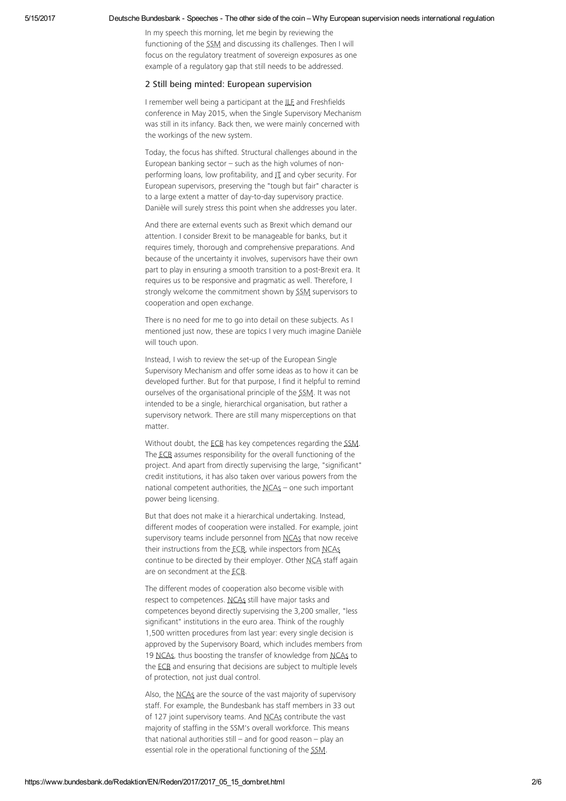In my speech this morning, let me begin by reviewing the functioning of the SSM and discussing its challenges. Then I will focus on the regulatory treatment of sovereign exposures as one example of a regulatory gap that still needs to be addressed.

### 2 Still being minted: European supervision

I remember well being a participant at the ILE and Freshfields conference in May 2015, when the Single Supervisory Mechanism was still in its infancy. Back then, we were mainly concerned with the workings of the new system.

Today, the focus has shifted. Structural challenges abound in the European banking sector – such as the high volumes of nonperforming loans, low profitability, and IT and cyber security. For European supervisors, preserving the "tough but fair" character is to a large extent a matter of day-to-day supervisory practice. Danièle will surely stress this point when she addresses you later.

And there are external events such as Brexit which demand our attention. I consider Brexit to be manageable for banks, but it requires timely, thorough and comprehensive preparations. And because of the uncertainty it involves, supervisors have their own part to play in ensuring a smooth transition to a post-Brexit era. It requires us to be responsive and pragmatic as well. Therefore, I strongly welcome the commitment shown by SSM supervisors to cooperation and open exchange.

There is no need for me to go into detail on these subjects. As I mentioned just now, these are topics I very much imagine Danièle will touch upon.

Instead, I wish to review the set-up of the European Single Supervisory Mechanism and offer some ideas as to how it can be developed further. But for that purpose, I find it helpful to remind ourselves of the organisational principle of the SSM. It was not intended to be a single, hierarchical organisation, but rather a supervisory network. There are still many misperceptions on that matter.

Without doubt, the ECB has key competences regarding the SSM. The ECB assumes responsibility for the overall functioning of the project. And apart from directly supervising the large, "significant" credit institutions, it has also taken over various powers from the national competent authorities, the NCAs - one such important power being licensing.

But that does not make it a hierarchical undertaking. Instead, different modes of cooperation were installed. For example, joint supervisory teams include personnel from NCAs that now receive their instructions from the ECB, while inspectors from NCAs continue to be directed by their employer. Other NCA staff again are on secondment at the ECB.

The different modes of cooperation also become visible with respect to competences. NCAs still have major tasks and competences beyond directly supervising the 3,200 smaller, "less significant" institutions in the euro area. Think of the roughly 1,500 written procedures from last year: every single decision is approved by the Supervisory Board, which includes members from 19 NCAs, thus boosting the transfer of knowledge from NCAs to the ECB and ensuring that decisions are subject to multiple levels of protection, not just dual control.

Also, the NCAs are the source of the vast majority of supervisory staff. For example, the Bundesbank has staff members in 33 out of 127 joint supervisory teams. And NCAs contribute the vast majority of staffing in the SSM's overall workforce. This means that national authorities still – and for good reason – play an essential role in the operational functioning of the SSM.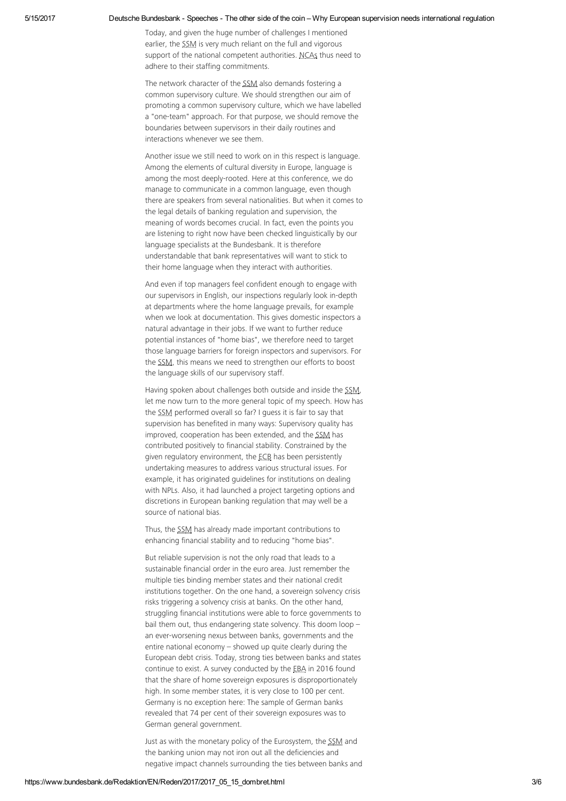### 5/15/2017 Deutsche Bundesbank Speeches The other side of the coin – Why European supervision needs international regulation

Today, and given the huge number of challenges I mentioned earlier, the SSM is very much reliant on the full and vigorous support of the national competent authorities. NCAs thus need to adhere to their staffing commitments.

The network character of the SSM also demands fostering a common supervisory culture. We should strengthen our aim of promoting a common supervisory culture, which we have labelled a "one-team" approach. For that purpose, we should remove the boundaries between supervisors in their daily routines and interactions whenever we see them.

Another issue we still need to work on in this respect is language. Among the elements of cultural diversity in Europe, language is among the most deeply-rooted. Here at this conference, we do manage to communicate in a common language, even though there are speakers from several nationalities. But when it comes to the legal details of banking regulation and supervision, the meaning of words becomes crucial. In fact, even the points you are listening to right now have been checked linguistically by our language specialists at the Bundesbank. It is therefore understandable that bank representatives will want to stick to their home language when they interact with authorities.

And even if top managers feel confident enough to engage with our supervisors in English, our inspections regularly look in-depth at departments where the home language prevails, for example when we look at documentation. This gives domestic inspectors a natural advantage in their jobs. If we want to further reduce potential instances of "home bias", we therefore need to target those language barriers for foreign inspectors and supervisors. For the SSM, this means we need to strengthen our efforts to boost the language skills of our supervisory staff.

Having spoken about challenges both outside and inside the SSM. let me now turn to the more general topic of my speech. How has the SSM performed overall so far? I guess it is fair to say that supervision has benefited in many ways: Supervisory quality has improved, cooperation has been extended, and the SSM has contributed positively to financial stability. Constrained by the given regulatory environment, the ECB has been persistently undertaking measures to address various structural issues. For example, it has originated guidelines for institutions on dealing with NPLs. Also, it had launched a project targeting options and discretions in European banking regulation that may well be a source of national bias.

Thus, the SSM has already made important contributions to enhancing financial stability and to reducing "home bias".

But reliable supervision is not the only road that leads to a sustainable financial order in the euro area. Just remember the multiple ties binding member states and their national credit institutions together. On the one hand, a sovereign solvency crisis risks triggering a solvency crisis at banks. On the other hand, struggling financial institutions were able to force governments to bail them out, thus endangering state solvency. This doom loop – an ever-worsening nexus between banks, governments and the entire national economy – showed up quite clearly during the European debt crisis. Today, strong ties between banks and states continue to exist. A survey conducted by the EBA in 2016 found that the share of home sovereign exposures is disproportionately high. In some member states, it is very close to 100 per cent. Germany is no exception here: The sample of German banks revealed that 74 per cent of their sovereign exposures was to German general government.

Just as with the monetary policy of the Eurosystem, the SSM and the banking union may not iron out all the deficiencies and negative impact channels surrounding the ties between banks and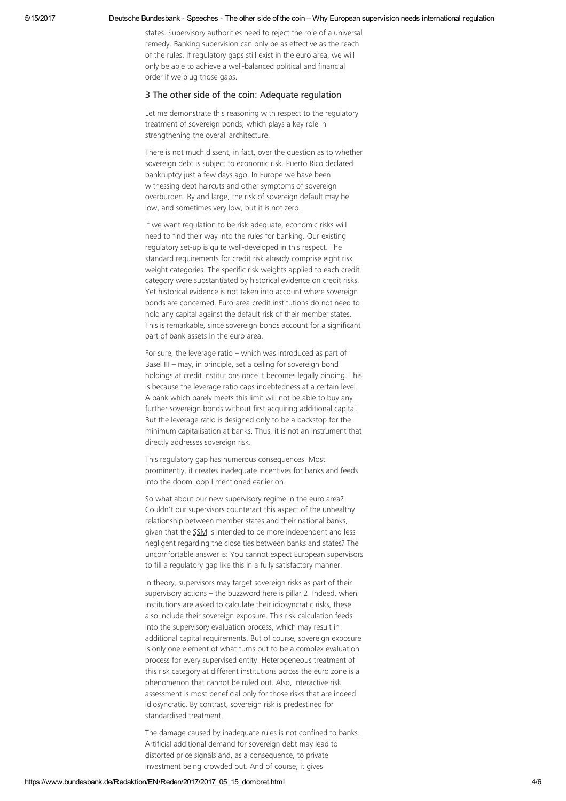states. Supervisory authorities need to reject the role of a universal remedy. Banking supervision can only be as effective as the reach of the rules. If regulatory gaps still exist in the euro area, we will only be able to achieve a well-balanced political and financial order if we plug those gaps.

## 3 The other side of the coin: Adequate regulation

Let me demonstrate this reasoning with respect to the regulatory treatment of sovereign bonds, which plays a key role in strengthening the overall architecture.

There is not much dissent, in fact, over the question as to whether sovereign debt is subject to economic risk. Puerto Rico declared bankruptcy just a few days ago. In Europe we have been witnessing debt haircuts and other symptoms of sovereign overburden. By and large, the risk of sovereign default may be low, and sometimes very low, but it is not zero.

If we want regulation to be risk-adequate, economic risks will need to find their way into the rules for banking. Our existing regulatory set-up is quite well-developed in this respect. The standard requirements for credit risk already comprise eight risk weight categories. The specific risk weights applied to each credit category were substantiated by historical evidence on credit risks. Yet historical evidence is not taken into account where sovereign bonds are concerned. Euro-area credit institutions do not need to hold any capital against the default risk of their member states. This is remarkable, since sovereign bonds account for a significant part of bank assets in the euro area.

For sure, the leverage ratio – which was introduced as part of Basel III – may, in principle, set a ceiling for sovereign bond holdings at credit institutions once it becomes legally binding. This is because the leverage ratio caps indebtedness at a certain level. A bank which barely meets this limit will not be able to buy any further sovereign bonds without first acquiring additional capital. But the leverage ratio is designed only to be a backstop for the minimum capitalisation at banks. Thus, it is not an instrument that directly addresses sovereign risk.

This regulatory gap has numerous consequences. Most prominently, it creates inadequate incentives for banks and feeds into the doom loop I mentioned earlier on.

So what about our new supervisory regime in the euro area? Couldn't our supervisors counteract this aspect of the unhealthy relationship between member states and their national banks, given that the SSM is intended to be more independent and less negligent regarding the close ties between banks and states? The uncomfortable answer is: You cannot expect European supervisors to fill a regulatory gap like this in a fully satisfactory manner.

In theory, supervisors may target sovereign risks as part of their supervisory actions – the buzzword here is pillar 2. Indeed, when institutions are asked to calculate their idiosyncratic risks, these also include their sovereign exposure. This risk calculation feeds into the supervisory evaluation process, which may result in additional capital requirements. But of course, sovereign exposure is only one element of what turns out to be a complex evaluation process for every supervised entity. Heterogeneous treatment of this risk category at different institutions across the euro zone is a phenomenon that cannot be ruled out. Also, interactive risk assessment is most beneficial only for those risks that are indeed idiosyncratic. By contrast, sovereign risk is predestined for standardised treatment.

The damage caused by inadequate rules is not confined to banks. Artificial additional demand for sovereign debt may lead to distorted price signals and, as a consequence, to private investment being crowded out. And of course, it gives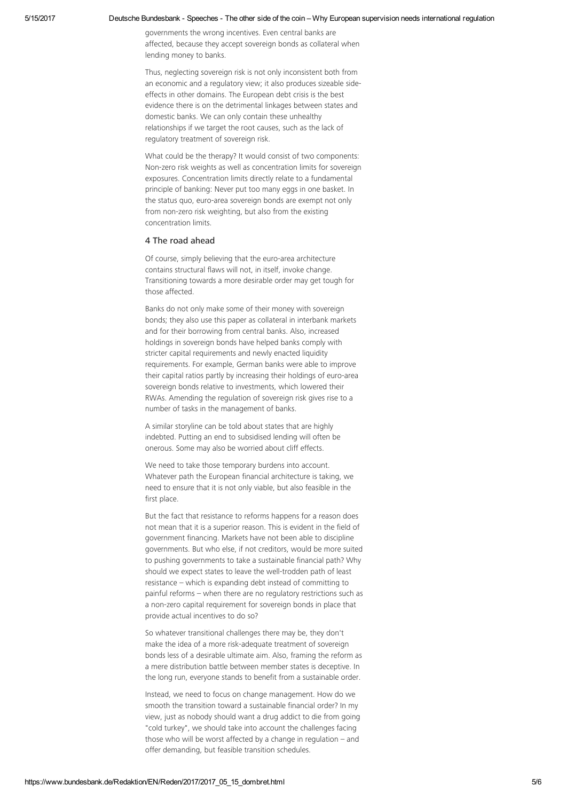#### 5/15/2017 Deutsche Bundesbank Speeches The other side of the coin – Why European supervision needs international regulation

governments the wrong incentives. Even central banks are affected, because they accept sovereign bonds as collateral when lending money to banks.

Thus, neglecting sovereign risk is not only inconsistent both from an economic and a regulatory view; it also produces sizeable sideeffects in other domains. The European debt crisis is the best evidence there is on the detrimental linkages between states and domestic banks. We can only contain these unhealthy relationships if we target the root causes, such as the lack of regulatory treatment of sovereign risk.

What could be the therapy? It would consist of two components: Non-zero risk weights as well as concentration limits for sovereign exposures. Concentration limits directly relate to a fundamental principle of banking: Never put too many eggs in one basket. In the status quo, euro-area sovereign bonds are exempt not only from non-zero risk weighting, but also from the existing concentration limits.

# 4 The road ahead

Of course, simply believing that the euro-area architecture contains structural flaws will not, in itself, invoke change. Transitioning towards a more desirable order may get tough for those affected.

Banks do not only make some of their money with sovereign bonds; they also use this paper as collateral in interbank markets and for their borrowing from central banks. Also, increased holdings in sovereign bonds have helped banks comply with stricter capital requirements and newly enacted liquidity requirements. For example, German banks were able to improve their capital ratios partly by increasing their holdings of euro-area sovereign bonds relative to investments, which lowered their RWAs. Amending the regulation of sovereign risk gives rise to a number of tasks in the management of banks.

A similar storyline can be told about states that are highly indebted. Putting an end to subsidised lending will often be onerous. Some may also be worried about cliff effects.

We need to take those temporary burdens into account. Whatever path the European financial architecture is taking, we need to ensure that it is not only viable, but also feasible in the first place.

But the fact that resistance to reforms happens for a reason does not mean that it is a superior reason. This is evident in the field of government financing. Markets have not been able to discipline governments. But who else, if not creditors, would be more suited to pushing governments to take a sustainable financial path? Why should we expect states to leave the well-trodden path of least resistance – which is expanding debt instead of committing to painful reforms – when there are no regulatory restrictions such as a non-zero capital requirement for sovereign bonds in place that provide actual incentives to do so?

So whatever transitional challenges there may be, they don't make the idea of a more risk-adequate treatment of sovereign bonds less of a desirable ultimate aim. Also, framing the reform as a mere distribution battle between member states is deceptive. In the long run, everyone stands to benefit from a sustainable order.

Instead, we need to focus on change management. How do we smooth the transition toward a sustainable financial order? In my view, just as nobody should want a drug addict to die from going "cold turkey", we should take into account the challenges facing those who will be worst affected by a change in regulation – and offer demanding, but feasible transition schedules.